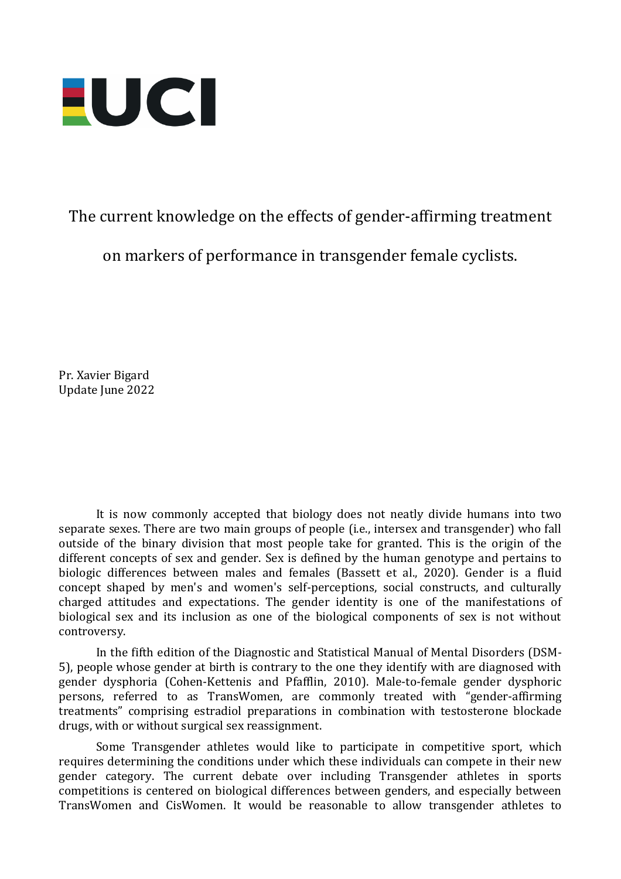

The current knowledge on the effects of gender-affirming treatment

on markers of performance in transgender female cyclists.

Pr. Xavier Bigard Update June 2022

It is now commonly accepted that biology does not neatly divide humans into two separate sexes. There are two main groups of people (i.e., intersex and transgender) who fall outside of the binary division that most people take for granted. This is the origin of the different concepts of sex and gender. Sex is defined by the human genotype and pertains to biologic differences between males and females (Bassett et al., 2020). Gender is a fluid concept shaped by men's and women's self-perceptions, social constructs, and culturally charged attitudes and expectations. The gender identity is one of the manifestations of biological sex and its inclusion as one of the biological components of sex is not without controversy.

In the fifth edition of the Diagnostic and Statistical Manual of Mental Disorders (DSM-5), people whose gender at birth is contrary to the one they identify with are diagnosed with gender dysphoria (Cohen-Kettenis and Pfafflin, 2010). Male-to-female gender dysphoric persons, referred to as TransWomen, are commonly treated with "gender-affirming treatments" comprising estradiol preparations in combination with testosterone blockade drugs, with or without surgical sex reassignment.

Some Transgender athletes would like to participate in competitive sport, which requires determining the conditions under which these individuals can compete in their new gender category. The current debate over including Transgender athletes in sports competitions is centered on biological differences between genders, and especially between TransWomen and CisWomen. It would be reasonable to allow transgender athletes to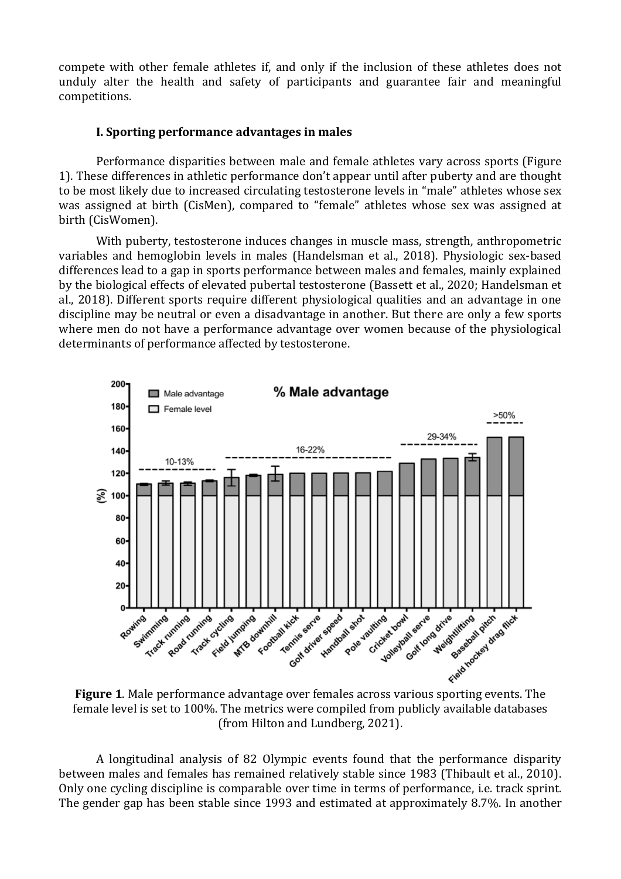compete with other female athletes if, and only if the inclusion of these athletes does not unduly alter the health and safety of participants and guarantee fair and meaningful competitions.

# **I. Sporting performance advantages in males**

Performance disparities between male and female athletes vary across sports (Figure 1). These differences in athletic performance don't appear until after puberty and are thought to be most likely due to increased circulating testosterone levels in "male" athletes whose sex was assigned at birth (CisMen), compared to "female" athletes whose sex was assigned at birth (CisWomen).

With puberty, testosterone induces changes in muscle mass, strength, anthropometric variables and hemoglobin levels in males (Handelsman et al., 2018). Physiologic sex-based differences lead to a gap in sports performance between males and females, mainly explained by the biological effects of elevated pubertal testosterone (Bassett et al., 2020; Handelsman et al., 2018). Different sports require different physiological qualities and an advantage in one discipline may be neutral or even a disadvantage in another. But there are only a few sports where men do not have a performance advantage over women because of the physiological determinants of performance affected by testosterone.



female level is set to 100%. The metrics were compiled from publicly available databases (from Hilton and Lundberg, 2021).

A longitudinal analysis of 82 Olympic events found that the performance disparity between males and females has remained relatively stable since 1983 (Thibault et al., 2010). Only one cycling discipline is comparable over time in terms of performance, i.e. track sprint. The gender gap has been stable since 1993 and estimated at approximately 8.7%. In another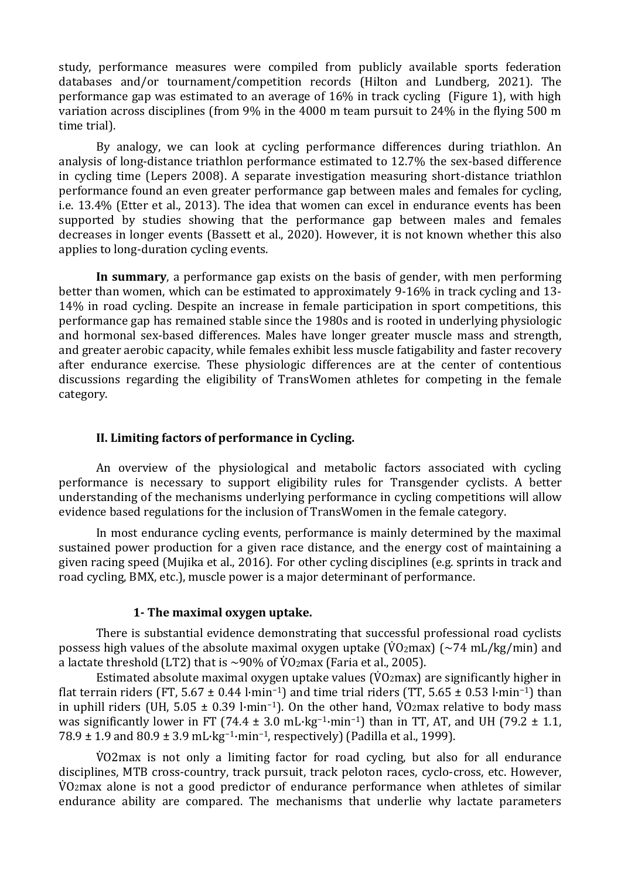study, performance measures were compiled from publicly available sports federation databases and/or tournament/competition records (Hilton and Lundberg, 2021). The performance gap was estimated to an average of 16% in track cycling (Figure 1), with high variation across disciplines (from 9% in the 4000 m team pursuit to 24% in the flying 500 m time trial).

By analogy, we can look at cycling performance differences during triathlon. An analysis of long-distance triathlon performance estimated to 12.7% the sex-based difference in cycling time (Lepers 2008). A separate investigation measuring short-distance triathlon performance found an even greater performance gap between males and females for cycling, i.e. 13.4% (Etter et al., 2013). The idea that women can excel in endurance events has been supported by studies showing that the performance gap between males and females decreases in longer events (Bassett et al., 2020). However, it is not known whether this also applies to long-duration cycling events.

**In summary**, a performance gap exists on the basis of gender, with men performing better than women, which can be estimated to approximately 9-16% in track cycling and 13- 14% in road cycling. Despite an increase in female participation in sport competitions, this performance gap has remained stable since the 1980s and is rooted in underlying physiologic and hormonal sex-based differences. Males have longer greater muscle mass and strength, and greater aerobic capacity, while females exhibit less muscle fatigability and faster recovery after endurance exercise. These physiologic differences are at the center of contentious discussions regarding the eligibility of TransWomen athletes for competing in the female category.

### **II. Limiting factors of performance in Cycling.**

An overview of the physiological and metabolic factors associated with cycling performance is necessary to support eligibility rules for Transgender cyclists. A better understanding of the mechanisms underlying performance in cycling competitions will allow evidence based regulations for the inclusion of TransWomen in the female category.

In most endurance cycling events, performance is mainly determined by the maximal sustained power production for a given race distance, and the energy cost of maintaining a given racing speed (Mujika et al., 2016). For other cycling disciplines (e.g. sprints in track and road cycling, BMX, etc.), muscle power is a major determinant of performance.

## **1- The maximal oxygen uptake.**

There is substantial evidence demonstrating that successful professional road cyclists possess high values of the absolute maximal oxygen uptake ( $\overline{V}O_2$ max) (~74 mL/kg/min) and a lactate threshold (LT2) that is  $\sim$ 90% of VO2max (Faria et al., 2005).

Estimated absolute maximal oxygen uptake values ( $\dot{V}O_2$ max) are significantly higher in flat terrain riders (FT, 5.67 ± 0.44 l·min<sup>-1</sup>) and time trial riders (TT, 5.65 ± 0.53 l·min<sup>-1</sup>) than in uphill riders (UH, 5.05 ± 0.39 l·min<sup>-1</sup>). On the other hand,  $\dot{V}O_2$  max relative to body mass was significantly lower in FT (74.4 ± 3.0 mL·kg<sup>-1</sup>·min<sup>-1</sup>) than in TT, AT, and UH (79.2 ± 1.1, 78.9 ± 1.9 and 80.9 ± 3.9 mL·kg−1·min−1, respectively) (Padilla et al., 1999).

V̇O2max is not only a limiting factor for road cycling, but also for all endurance disciplines, MTB cross-country, track pursuit, track peloton races, cyclo-cross, etc. However, V̇O2max alone is not a good predictor of endurance performance when athletes of similar endurance ability are compared. The mechanisms that underlie why lactate parameters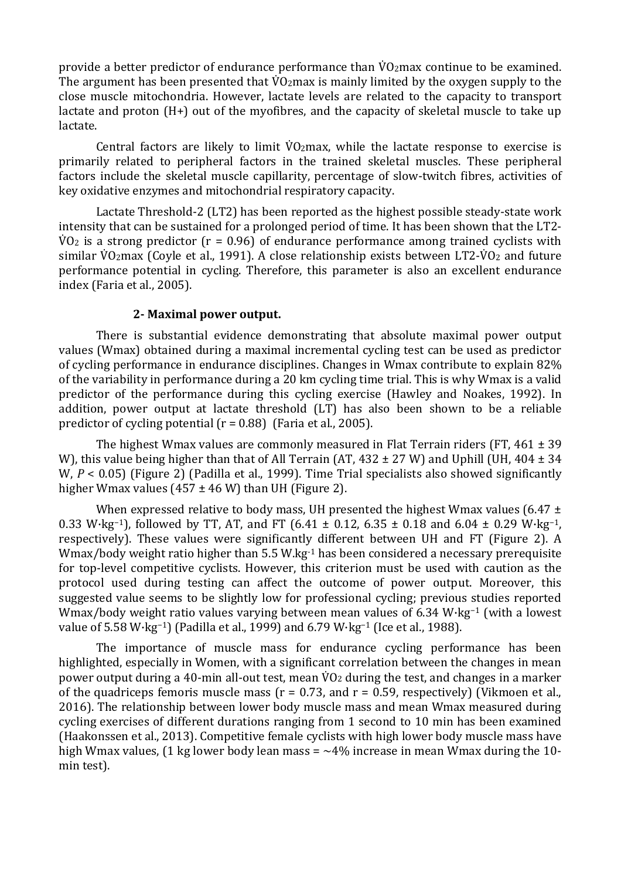provide a better predictor of endurance performance than  $\dot{V}O_2$  max continue to be examined. The argument has been presented that  $\dot{V}O_2$  max is mainly limited by the oxygen supply to the close muscle mitochondria. However, lactate levels are related to the capacity to transport lactate and proton (H+) out of the myofibres, and the capacity of skeletal muscle to take up lactate.

Central factors are likely to limit  $\dot{V}O_2$ max, while the lactate response to exercise is primarily related to peripheral factors in the trained skeletal muscles. These peripheral factors include the skeletal muscle capillarity, percentage of slow-twitch fibres, activities of key oxidative enzymes and mitochondrial respiratory capacity.

Lactate Threshold-2 (LT2) has been reported as the highest possible steady-state work intensity that can be sustained for a prolonged period of time. It has been shown that the LT2-  $\dot{V}O_2$  is a strong predictor ( $r = 0.96$ ) of endurance performance among trained cyclists with similar  $\dot{V}O_2$ max (Coyle et al., 1991). A close relationship exists between LT2- $\dot{V}O_2$  and future performance potential in cycling. Therefore, this parameter is also an excellent endurance index (Faria et al., 2005).

## **2- Maximal power output.**

There is substantial evidence demonstrating that absolute maximal power output values (Wmax) obtained during a maximal incremental cycling test can be used as predictor of cycling performance in endurance disciplines. Changes in Wmax contribute to explain 82% of the variability in performance during a 20 km cycling time trial. This is why Wmax is a valid predictor of the performance during this cycling exercise (Hawley and Noakes, 1992). In addition, power output at lactate threshold (LT) has also been shown to be a reliable predictor of cycling potential  $(r = 0.88)$  (Faria et al., 2005).

The highest Wmax values are commonly measured in Flat Terrain riders (FT,  $461 \pm 39$ ) W), this value being higher than that of All Terrain (AT,  $432 \pm 27$  W) and Uphill (UH,  $404 \pm 34$ ) W,  $P < 0.05$ ) (Figure 2) (Padilla et al., 1999). Time Trial specialists also showed significantly higher Wmax values (457  $\pm$  46 W) than UH (Figure 2).

When expressed relative to body mass, UH presented the highest Wmax values (6.47  $\pm$ 0.33 W·kg−1), followed by TT, AT, and FT (6.41 ± 0.12, 6.35 ± 0.18 and 6.04 ± 0.29 W·kg−1, respectively). These values were significantly different between UH and FT (Figure 2). A Wmax/body weight ratio higher than 5.5 W.kg-1 has been considered a necessary prerequisite for top-level competitive cyclists. However, this criterion must be used with caution as the protocol used during testing can affect the outcome of power output. Moreover, this suggested value seems to be slightly low for professional cycling; previous studies reported Wmax/body weight ratio values varying between mean values of 6.34 W·kg−<sup>1</sup> (with a lowest value of 5.58 W·kg−1) (Padilla et al., 1999) and 6.79 W·kg−<sup>1</sup> (Ice et al., 1988).

The importance of muscle mass for endurance cycling performance has been highlighted, especially in Women, with a significant correlation between the changes in mean power output during a 40-min all-out test, mean  $\dot{V}O_2$  during the test, and changes in a marker of the quadriceps femoris muscle mass ( $r = 0.73$ , and  $r = 0.59$ , respectively) (Vikmoen et al., 2016). The relationship between lower body muscle mass and mean Wmax measured during cycling exercises of different durations ranging from 1 second to 10 min has been examined (Haakonssen et al., 2013). Competitive female cyclists with high lower body muscle mass have high Wmax values, (1 kg lower body lean mass  $=$  ~4% increase in mean Wmax during the 10min test).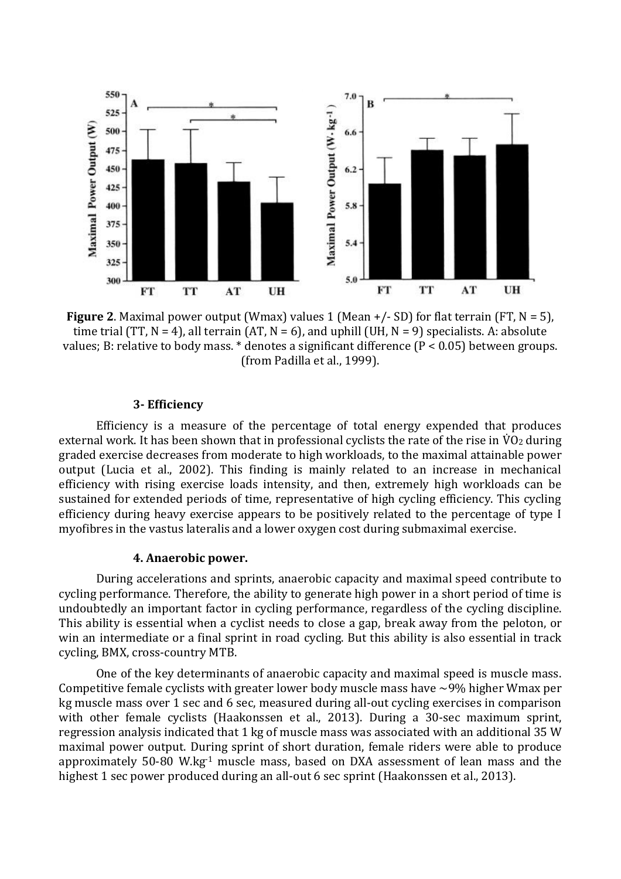

**Figure 2**. Maximal power output (Wmax) values 1 (Mean +/- SD) for flat terrain (FT, N = 5), time trial (TT,  $N = 4$ ), all terrain (AT,  $N = 6$ ), and uphill (UH,  $N = 9$ ) specialists. A: absolute values; B: relative to body mass. \* denotes a significant difference (P < 0.05) between groups. (from Padilla et al., 1999).

#### **3- Efficiency**

Efficiency is a measure of the percentage of total energy expended that produces external work. It has been shown that in professional cyclists the rate of the rise in  $\dot{V}O_2$  during graded exercise decreases from moderate to high workloads, to the maximal attainable power output (Lucia et al., 2002). This finding is mainly related to an increase in mechanical efficiency with rising exercise loads intensity, and then, extremely high workloads can be sustained for extended periods of time, representative of high cycling efficiency. This cycling efficiency during heavy exercise appears to be positively related to the percentage of type I myofibres in the vastus lateralis and a lower oxygen cost during submaximal exercise.

### **4. Anaerobic power.**

During accelerations and sprints, anaerobic capacity and maximal speed contribute to cycling performance. Therefore, the ability to generate high power in a short period of time is undoubtedly an important factor in cycling performance, regardless of the cycling discipline. This ability is essential when a cyclist needs to close a gap, break away from the peloton, or win an intermediate or a final sprint in road cycling. But this ability is also essential in track cycling, BMX, cross-country MTB.

One of the key determinants of anaerobic capacity and maximal speed is muscle mass. Competitive female cyclists with greater lower body muscle mass have  $\sim$ 9% higher Wmax per kg muscle mass over 1 sec and 6 sec, measured during all-out cycling exercises in comparison with other female cyclists (Haakonssen et al., 2013). During a 30-sec maximum sprint, regression analysis indicated that 1 kg of muscle mass was associated with an additional 35 W maximal power output. During sprint of short duration, female riders were able to produce approximately 50-80 W.kg-1 muscle mass, based on DXA assessment of lean mass and the highest 1 sec power produced during an all-out 6 sec sprint (Haakonssen et al., 2013).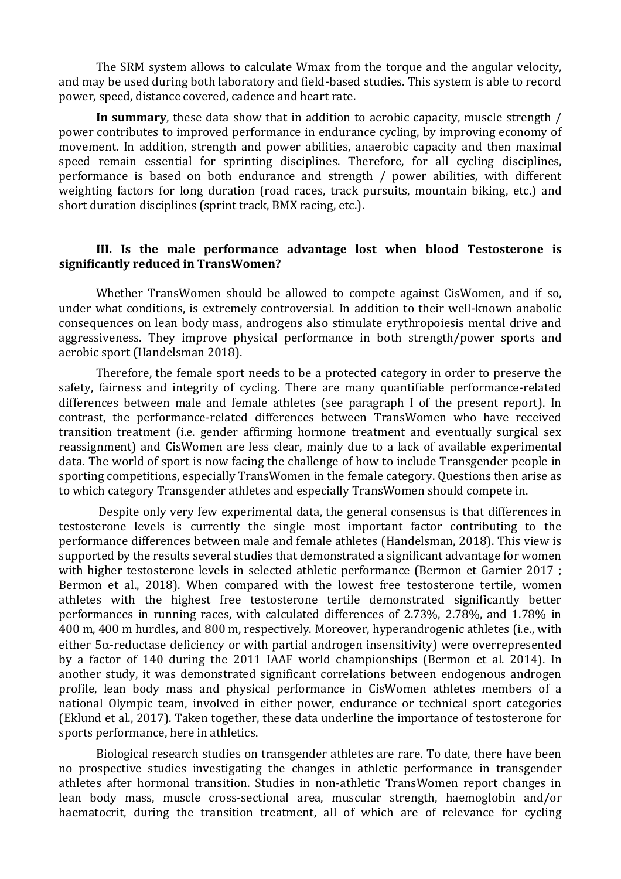The SRM system allows to calculate Wmax from the torque and the angular velocity, and may be used during both laboratory and field-based studies. This system is able to record power, speed, distance covered, cadence and heart rate.

**In summary**, these data show that in addition to aerobic capacity, muscle strength / power contributes to improved performance in endurance cycling, by improving economy of movement. In addition, strength and power abilities, anaerobic capacity and then maximal speed remain essential for sprinting disciplines. Therefore, for all cycling disciplines, performance is based on both endurance and strength / power abilities, with different weighting factors for long duration (road races, track pursuits, mountain biking, etc.) and short duration disciplines (sprint track, BMX racing, etc.).

# **III. Is the male performance advantage lost when blood Testosterone is significantly reduced in TransWomen?**

Whether TransWomen should be allowed to compete against CisWomen, and if so, under what conditions, is extremely controversial. In addition to their well-known anabolic consequences on lean body mass, androgens also stimulate erythropoiesis mental drive and aggressiveness. They improve physical performance in both strength/power sports and aerobic sport (Handelsman 2018).

Therefore, the female sport needs to be a protected category in order to preserve the safety, fairness and integrity of cycling. There are many quantifiable performance-related differences between male and female athletes (see paragraph I of the present report). In contrast, the performance-related differences between TransWomen who have received transition treatment (i.e. gender affirming hormone treatment and eventually surgical sex reassignment) and CisWomen are less clear, mainly due to a lack of available experimental data. The world of sport is now facing the challenge of how to include Transgender people in sporting competitions, especially TransWomen in the female category. Questions then arise as to which category Transgender athletes and especially TransWomen should compete in.

Despite only very few experimental data, the general consensus is that differences in testosterone levels is currently the single most important factor contributing to the performance differences between male and female athletes (Handelsman, 2018). This view is supported by the results several studies that demonstrated a significant advantage for women with higher testosterone levels in selected athletic performance (Bermon et Garnier 2017 ; Bermon et al., 2018). When compared with the lowest free testosterone tertile, women athletes with the highest free testosterone tertile demonstrated significantly better performances in running races, with calculated differences of 2.73%, 2.78%, and 1.78% in 400 m, 400 m hurdles, and 800 m, respectively. Moreover, hyperandrogenic athletes (i.e., with either  $5\alpha$ -reductase deficiency or with partial androgen insensitivity) were overrepresented by a factor of 140 during the 2011 IAAF world championships (Bermon et al. 2014). In another study, it was demonstrated significant correlations between endogenous androgen profile, lean body mass and physical performance in CisWomen athletes members of a national Olympic team, involved in either power, endurance or technical sport categories (Eklund et al., 2017). Taken together, these data underline the importance of testosterone for sports performance, here in athletics.

Biological research studies on transgender athletes are rare. To date, there have been no prospective studies investigating the changes in athletic performance in transgender athletes after hormonal transition. Studies in non-athletic TransWomen report changes in lean body mass, muscle cross-sectional area, muscular strength, haemoglobin and/or haematocrit, during the transition treatment, all of which are of relevance for cycling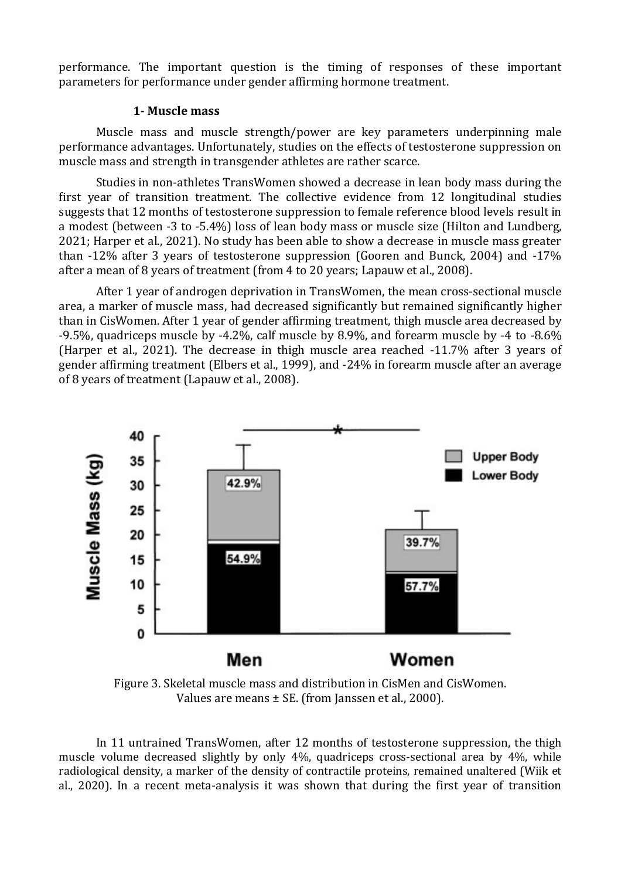performance. The important question is the timing of responses of these important parameters for performance under gender affirming hormone treatment.

## **1- Muscle mass**

Muscle mass and muscle strength/power are key parameters underpinning male performance advantages. Unfortunately, studies on the effects of testosterone suppression on muscle mass and strength in transgender athletes are rather scarce.

Studies in non-athletes TransWomen showed a decrease in lean body mass during the first year of transition treatment. The collective evidence from 12 longitudinal studies suggests that 12 months of testosterone suppression to female reference blood levels result in a modest (between -3 to -5.4%) loss of lean body mass or muscle size (Hilton and Lundberg, 2021; Harper et al., 2021). No study has been able to show a decrease in muscle mass greater than -12% after 3 years of testosterone suppression (Gooren and Bunck, 2004) and -17% after a mean of 8 years of treatment (from 4 to 20 years; Lapauw et al., 2008).

After 1 year of androgen deprivation in TransWomen, the mean cross-sectional muscle area, a marker of muscle mass, had decreased significantly but remained significantly higher than in CisWomen. After 1 year of gender affirming treatment, thigh muscle area decreased by -9.5%, quadriceps muscle by -4.2%, calf muscle by 8.9%, and forearm muscle by -4 to -8.6% (Harper et al., 2021). The decrease in thigh muscle area reached -11.7% after 3 years of gender affirming treatment (Elbers et al., 1999), and -24% in forearm muscle after an average of 8 years of treatment (Lapauw et al., 2008).



Figure 3. Skeletal muscle mass and distribution in CisMen and CisWomen. Values are means  $\pm$  SE. (from Janssen et al., 2000).

In 11 untrained TransWomen, after 12 months of testosterone suppression, the thigh muscle volume decreased slightly by only 4%, quadriceps cross-sectional area by 4%, while radiological density, a marker of the density of contractile proteins, remained unaltered (Wiik et al., 2020). In a recent meta-analysis it was shown that during the first year of transition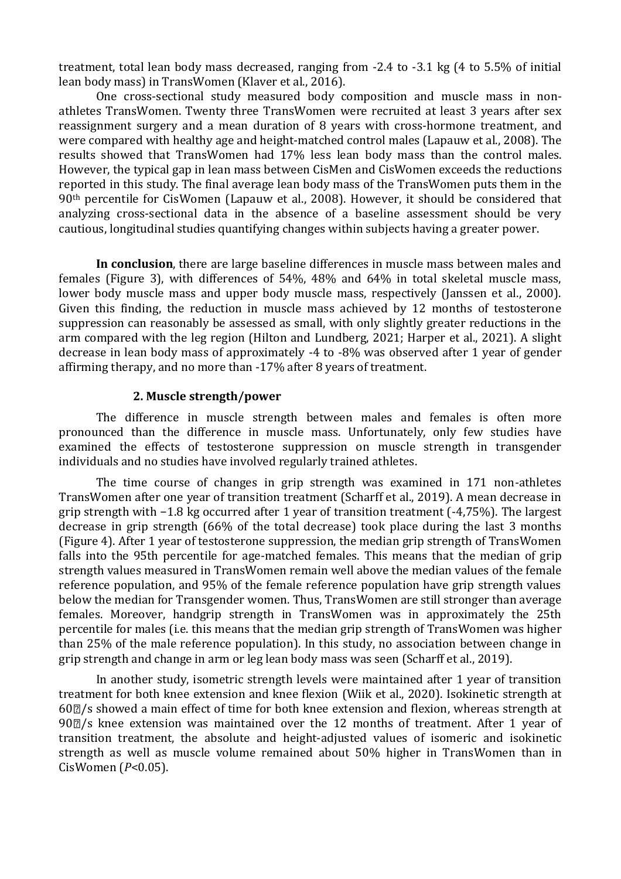treatment, total lean body mass decreased, ranging from -2.4 to -3.1 kg (4 to 5.5% of initial lean body mass) in TransWomen (Klaver et al., 2016).

One cross-sectional study measured body composition and muscle mass in nonathletes TransWomen. Twenty three TransWomen were recruited at least 3 years after sex reassignment surgery and a mean duration of 8 years with cross-hormone treatment, and were compared with healthy age and height-matched control males (Lapauw et al., 2008). The results showed that TransWomen had 17% less lean body mass than the control males. However, the typical gap in lean mass between CisMen and CisWomen exceeds the reductions reported in this study. The final average lean body mass of the TransWomen puts them in the 90th percentile for CisWomen (Lapauw et al., 2008). However, it should be considered that analyzing cross-sectional data in the absence of a baseline assessment should be very cautious, longitudinal studies quantifying changes within subjects having a greater power.

**In conclusion**, there are large baseline differences in muscle mass between males and females (Figure 3), with differences of 54%, 48% and 64% in total skeletal muscle mass, lower body muscle mass and upper body muscle mass, respectively (Janssen et al., 2000). Given this finding, the reduction in muscle mass achieved by 12 months of testosterone suppression can reasonably be assessed as small, with only slightly greater reductions in the arm compared with the leg region (Hilton and Lundberg, 2021; Harper et al., 2021). A slight decrease in lean body mass of approximately -4 to -8% was observed after 1 year of gender affirming therapy, and no more than -17% after 8 years of treatment.

## **2. Muscle strength/power**

The difference in muscle strength between males and females is often more pronounced than the difference in muscle mass. Unfortunately, only few studies have examined the effects of testosterone suppression on muscle strength in transgender individuals and no studies have involved regularly trained athletes.

The time course of changes in grip strength was examined in 171 non-athletes TransWomen after one year of transition treatment (Scharff et al., 2019). A mean decrease in grip strength with −1.8 kg occurred after 1 year of transition treatment (-4,75%). The largest decrease in grip strength (66% of the total decrease) took place during the last 3 months (Figure 4). After 1 year of testosterone suppression, the median grip strength of TransWomen falls into the 95th percentile for age-matched females. This means that the median of grip strength values measured in TransWomen remain well above the median values of the female reference population, and 95% of the female reference population have grip strength values below the median for Transgender women. Thus, TransWomen are still stronger than average females. Moreover, handgrip strength in TransWomen was in approximately the 25th percentile for males (i.e. this means that the median grip strength of TransWomen was higher than 25% of the male reference population). In this study, no association between change in grip strength and change in arm or leg lean body mass was seen (Scharff et al., 2019).

In another study, isometric strength levels were maintained after 1 year of transition treatment for both knee extension and knee flexion (Wiik et al., 2020). Isokinetic strength at  $60\%$  /s showed a main effect of time for both knee extension and flexion, whereas strength at 90<sup> $2$ </sup>/s knee extension was maintained over the 12 months of treatment. After 1 year of transition treatment, the absolute and height-adjusted values of isomeric and isokinetic strength as well as muscle volume remained about 50% higher in TransWomen than in CisWomen (*P*<0.05).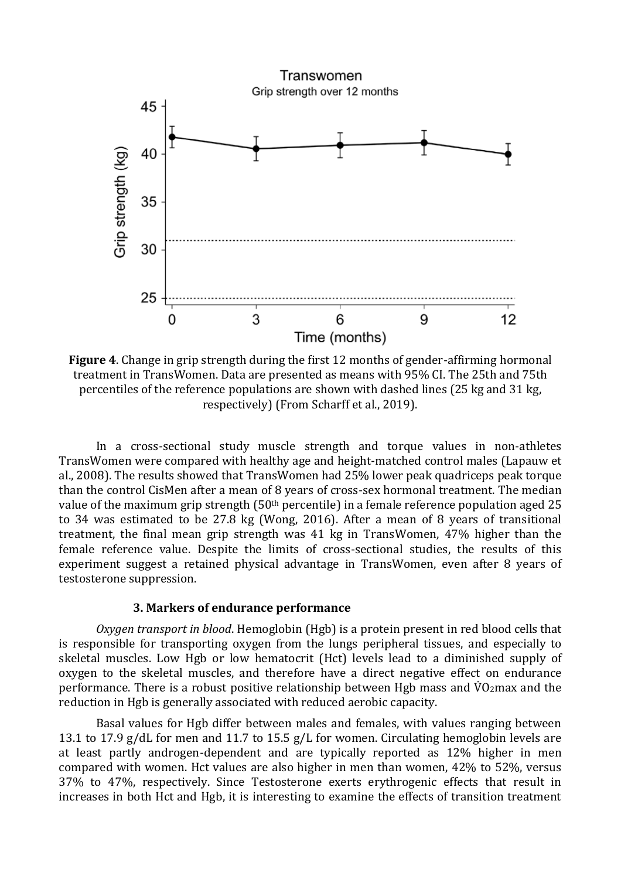

**Figure 4**. Change in grip strength during the first 12 months of gender-affirming hormonal treatment in TransWomen. Data are presented as means with 95% CI. The 25th and 75th percentiles of the reference populations are shown with dashed lines (25 kg and 31 kg, respectively) (From Scharff et al., 2019).

In a cross-sectional study muscle strength and torque values in non-athletes TransWomen were compared with healthy age and height-matched control males (Lapauw et al., 2008). The results showed that TransWomen had 25% lower peak quadriceps peak torque than the control CisMen after a mean of 8 years of cross-sex hormonal treatment. The median value of the maximum grip strength (50<sup>th</sup> percentile) in a female reference population aged 25 to 34 was estimated to be 27.8 kg (Wong, 2016). After a mean of 8 years of transitional treatment, the final mean grip strength was 41 kg in TransWomen, 47% higher than the female reference value. Despite the limits of cross-sectional studies, the results of this experiment suggest a retained physical advantage in TransWomen, even after 8 years of testosterone suppression.

#### **3. Markers of endurance performance**

*Oxygen transport in blood*. Hemoglobin (Hgb) is a protein present in red blood cells that is responsible for transporting oxygen from the lungs peripheral tissues, and especially to skeletal muscles. Low Hgb or low hematocrit (Hct) levels lead to a diminished supply of oxygen to the skeletal muscles, and therefore have a direct negative effect on endurance performance. There is a robust positive relationship between Hgb mass and  $\dot{V}O_2$ max and the reduction in Hgb is generally associated with reduced aerobic capacity.

Basal values for Hgb differ between males and females, with values ranging between 13.1 to 17.9 g/dL for men and 11.7 to 15.5 g/L for women. Circulating hemoglobin levels are at least partly androgen-dependent and are typically reported as 12% higher in men compared with women. Hct values are also higher in men than women, 42% to 52%, versus 37% to 47%, respectively. Since Testosterone exerts erythrogenic effects that result in increases in both Hct and Hgb, it is interesting to examine the effects of transition treatment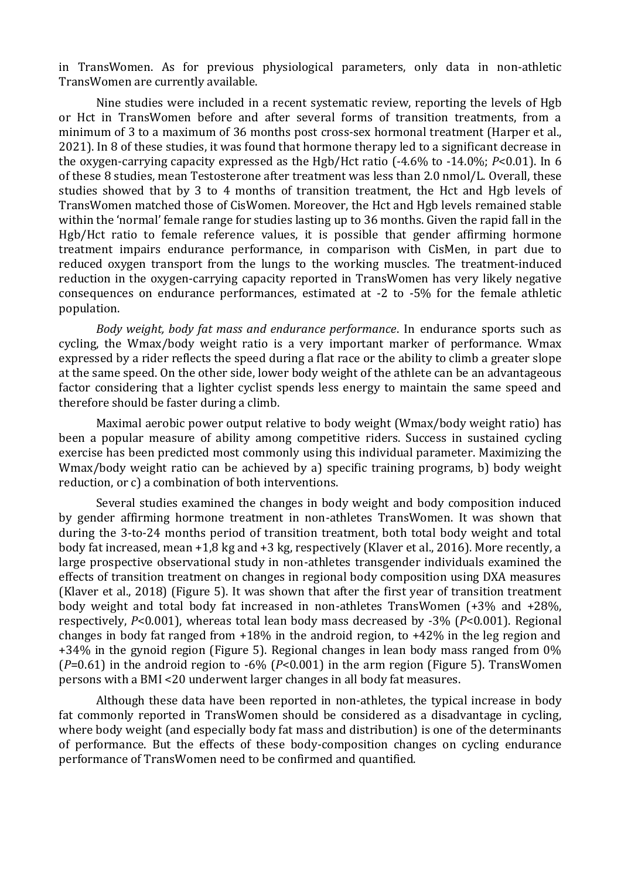in TransWomen. As for previous physiological parameters, only data in non-athletic TransWomen are currently available.

Nine studies were included in a recent systematic review, reporting the levels of Hgb or Hct in TransWomen before and after several forms of transition treatments, from a minimum of 3 to a maximum of 36 months post cross-sex hormonal treatment (Harper et al., 2021). In 8 of these studies, it was found that hormone therapy led to a significant decrease in the oxygen-carrying capacity expressed as the Hgb/Hct ratio (-4.6% to -14.0%; *P*<0.01). In 6 of these 8 studies, mean Testosterone after treatment was less than 2.0 nmol/L. Overall, these studies showed that by 3 to 4 months of transition treatment, the Hct and Hgb levels of TransWomen matched those of CisWomen. Moreover, the Hct and Hgb levels remained stable within the 'normal' female range for studies lasting up to 36 months. Given the rapid fall in the Hgb/Hct ratio to female reference values, it is possible that gender affirming hormone treatment impairs endurance performance, in comparison with CisMen, in part due to reduced oxygen transport from the lungs to the working muscles. The treatment-induced reduction in the oxygen-carrying capacity reported in TransWomen has very likely negative consequences on endurance performances, estimated at -2 to -5% for the female athletic population.

*Body weight, body fat mass and endurance performance*. In endurance sports such as cycling, the Wmax/body weight ratio is a very important marker of performance. Wmax expressed by a rider reflects the speed during a flat race or the ability to climb a greater slope at the same speed. On the other side, lower body weight of the athlete can be an advantageous factor considering that a lighter cyclist spends less energy to maintain the same speed and therefore should be faster during a climb.

Maximal aerobic power output relative to body weight (Wmax/body weight ratio) has been a popular measure of ability among competitive riders. Success in sustained cycling exercise has been predicted most commonly using this individual parameter. Maximizing the Wmax/body weight ratio can be achieved by a) specific training programs, b) body weight reduction, or c) a combination of both interventions.

Several studies examined the changes in body weight and body composition induced by gender affirming hormone treatment in non-athletes TransWomen. It was shown that during the 3-to-24 months period of transition treatment, both total body weight and total body fat increased, mean +1,8 kg and +3 kg, respectively (Klaver et al., 2016). More recently, a large prospective observational study in non-athletes transgender individuals examined the effects of transition treatment on changes in regional body composition using DXA measures (Klaver et al., 2018) (Figure 5). It was shown that after the first year of transition treatment body weight and total body fat increased in non-athletes TransWomen (+3% and +28%, respectively, *P*<0.001), whereas total lean body mass decreased by -3% (*P*<0.001). Regional changes in body fat ranged from +18% in the android region, to +42% in the leg region and +34% in the gynoid region (Figure 5). Regional changes in lean body mass ranged from 0% (*P*=0.61) in the android region to -6% (*P*<0.001) in the arm region (Figure 5). TransWomen persons with a BMI <20 underwent larger changes in all body fat measures.

Although these data have been reported in non-athletes, the typical increase in body fat commonly reported in TransWomen should be considered as a disadvantage in cycling, where body weight (and especially body fat mass and distribution) is one of the determinants of performance. But the effects of these body-composition changes on cycling endurance performance of TransWomen need to be confirmed and quantified.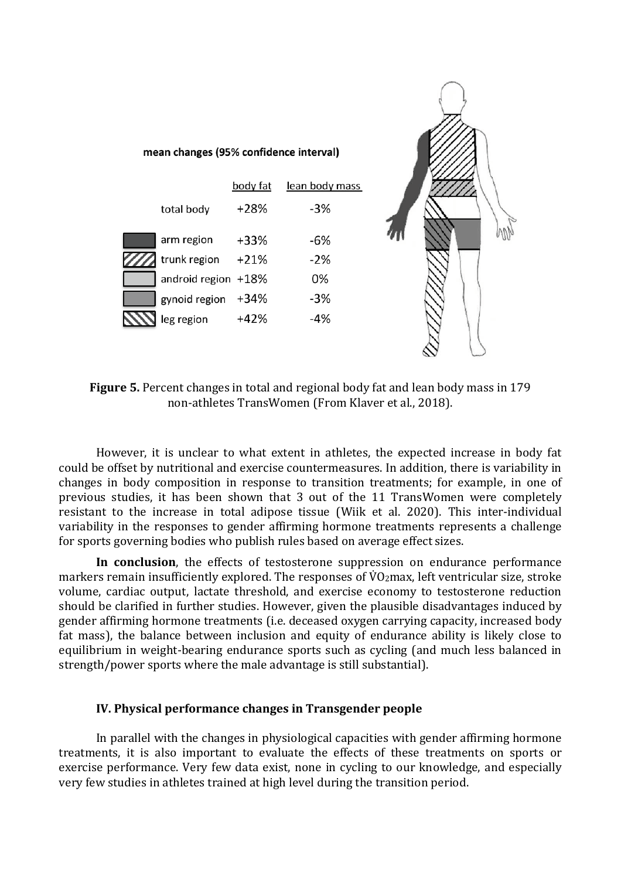

**Figure 5.** Percent changes in total and regional body fat and lean body mass in 179 non-athletes TransWomen (From Klaver et al., 2018).

However, it is unclear to what extent in athletes, the expected increase in body fat could be offset by nutritional and exercise countermeasures. In addition, there is variability in changes in body composition in response to transition treatments; for example, in one of previous studies, it has been shown that 3 out of the 11 TransWomen were completely resistant to the increase in total adipose tissue (Wiik et al. 2020). This inter-individual variability in the responses to gender affirming hormone treatments represents a challenge for sports governing bodies who publish rules based on average effect sizes.

**In conclusion**, the effects of testosterone suppression on endurance performance markers remain insufficiently explored. The responses of  $\dot{V}O_2$ max, left ventricular size, stroke volume, cardiac output, lactate threshold, and exercise economy to testosterone reduction should be clarified in further studies. However, given the plausible disadvantages induced by gender affirming hormone treatments (i.e. deceased oxygen carrying capacity, increased body fat mass), the balance between inclusion and equity of endurance ability is likely close to equilibrium in weight-bearing endurance sports such as cycling (and much less balanced in strength/power sports where the male advantage is still substantial).

#### **IV. Physical performance changes in Transgender people**

In parallel with the changes in physiological capacities with gender affirming hormone treatments, it is also important to evaluate the effects of these treatments on sports or exercise performance. Very few data exist, none in cycling to our knowledge, and especially very few studies in athletes trained at high level during the transition period.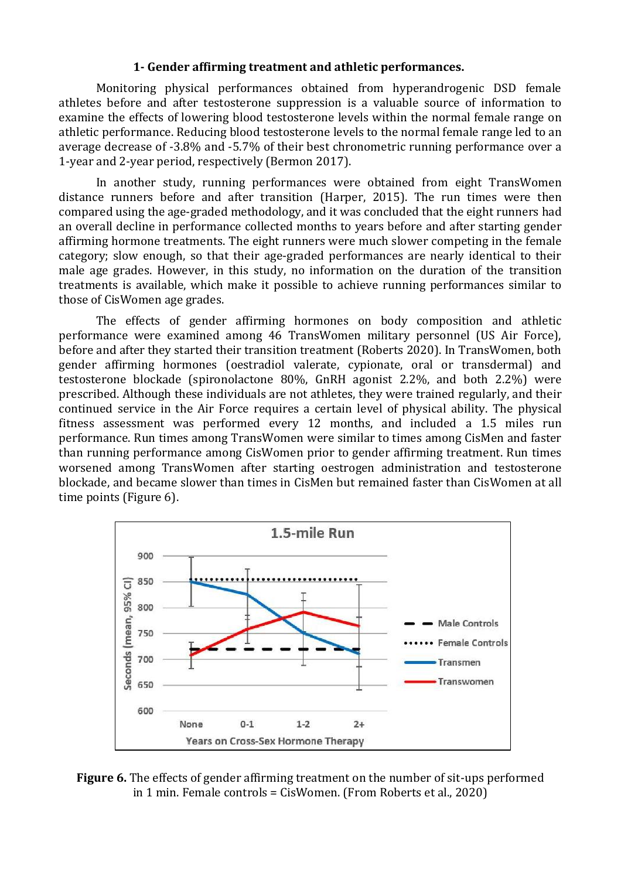#### **1- Gender affirming treatment and athletic performances.**

Monitoring physical performances obtained from hyperandrogenic DSD female athletes before and after testosterone suppression is a valuable source of information to examine the effects of lowering blood testosterone levels within the normal female range on athletic performance. Reducing blood testosterone levels to the normal female range led to an average decrease of -3.8% and -5.7% of their best chronometric running performance over a 1-year and 2-year period, respectively (Bermon 2017).

In another study, running performances were obtained from eight TransWomen distance runners before and after transition (Harper, 2015). The run times were then compared using the age-graded methodology, and it was concluded that the eight runners had an overall decline in performance collected months to years before and after starting gender affirming hormone treatments. The eight runners were much slower competing in the female category; slow enough, so that their age-graded performances are nearly identical to their male age grades. However, in this study, no information on the duration of the transition treatments is available, which make it possible to achieve running performances similar to those of CisWomen age grades.

The effects of gender affirming hormones on body composition and athletic performance were examined among 46 TransWomen military personnel (US Air Force), before and after they started their transition treatment (Roberts 2020). In TransWomen, both gender affirming hormones (oestradiol valerate, cypionate, oral or transdermal) and testosterone blockade (spironolactone 80%, GnRH agonist 2.2%, and both 2.2%) were prescribed. Although these individuals are not athletes, they were trained regularly, and their continued service in the Air Force requires a certain level of physical ability. The physical fitness assessment was performed every 12 months, and included a 1.5 miles run performance. Run times among TransWomen were similar to times among CisMen and faster than running performance among CisWomen prior to gender affirming treatment. Run times worsened among TransWomen after starting oestrogen administration and testosterone blockade, and became slower than times in CisMen but remained faster than CisWomen at all time points (Figure 6).



**Figure 6.** The effects of gender affirming treatment on the number of sit-ups performed in 1 min. Female controls = CisWomen. (From Roberts et al., 2020)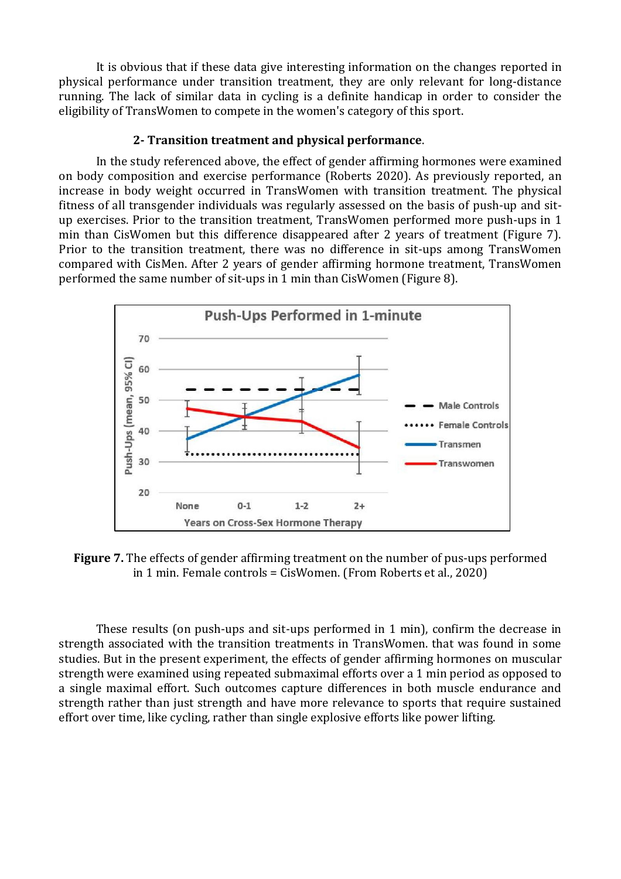It is obvious that if these data give interesting information on the changes reported in physical performance under transition treatment, they are only relevant for long-distance running. The lack of similar data in cycling is a definite handicap in order to consider the eligibility of TransWomen to compete in the women's category of this sport.

# **2- Transition treatment and physical performance**.

In the study referenced above, the effect of gender affirming hormones were examined on body composition and exercise performance (Roberts 2020). As previously reported, an increase in body weight occurred in TransWomen with transition treatment. The physical fitness of all transgender individuals was regularly assessed on the basis of push-up and situp exercises. Prior to the transition treatment, TransWomen performed more push-ups in 1 min than CisWomen but this difference disappeared after 2 years of treatment (Figure 7). Prior to the transition treatment, there was no difference in sit-ups among TransWomen compared with CisMen. After 2 years of gender affirming hormone treatment, TransWomen performed the same number of sit-ups in 1 min than CisWomen (Figure 8).



**Figure 7.** The effects of gender affirming treatment on the number of pus-ups performed in 1 min. Female controls = CisWomen. (From Roberts et al., 2020)

These results (on push-ups and sit-ups performed in 1 min), confirm the decrease in strength associated with the transition treatments in TransWomen. that was found in some studies. But in the present experiment, the effects of gender affirming hormones on muscular strength were examined using repeated submaximal efforts over a 1 min period as opposed to a single maximal effort. Such outcomes capture differences in both muscle endurance and strength rather than just strength and have more relevance to sports that require sustained effort over time, like cycling, rather than single explosive efforts like power lifting.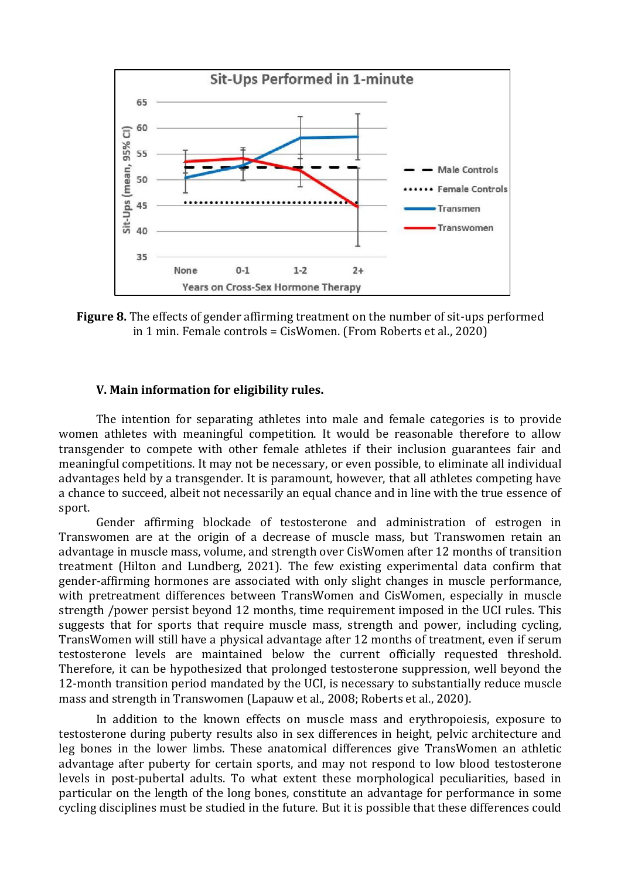

**Figure 8.** The effects of gender affirming treatment on the number of sit-ups performed in 1 min. Female controls = CisWomen. (From Roberts et al., 2020)

#### **V. Main information for eligibility rules.**

The intention for separating athletes into male and female categories is to provide women athletes with meaningful competition. It would be reasonable therefore to allow transgender to compete with other female athletes if their inclusion guarantees fair and meaningful competitions. It may not be necessary, or even possible, to eliminate all individual advantages held by a transgender. It is paramount, however, that all athletes competing have a chance to succeed, albeit not necessarily an equal chance and in line with the true essence of sport.

Gender affirming blockade of testosterone and administration of estrogen in Transwomen are at the origin of a decrease of muscle mass, but Transwomen retain an advantage in muscle mass, volume, and strength over CisWomen after 12 months of transition treatment (Hilton and Lundberg, 2021). The few existing experimental data confirm that gender-affirming hormones are associated with only slight changes in muscle performance, with pretreatment differences between TransWomen and CisWomen, especially in muscle strength /power persist beyond 12 months, time requirement imposed in the UCI rules. This suggests that for sports that require muscle mass, strength and power, including cycling, TransWomen will still have a physical advantage after 12 months of treatment, even if serum testosterone levels are maintained below the current officially requested threshold. Therefore, it can be hypothesized that prolonged testosterone suppression, well beyond the 12-month transition period mandated by the UCI, is necessary to substantially reduce muscle mass and strength in Transwomen (Lapauw et al., 2008; Roberts et al., 2020).

In addition to the known effects on muscle mass and erythropoiesis, exposure to testosterone during puberty results also in sex differences in height, pelvic architecture and leg bones in the lower limbs. These anatomical differences give TransWomen an athletic advantage after puberty for certain sports, and may not respond to low blood testosterone levels in post-pubertal adults. To what extent these morphological peculiarities, based in particular on the length of the long bones, constitute an advantage for performance in some cycling disciplines must be studied in the future. But it is possible that these differences could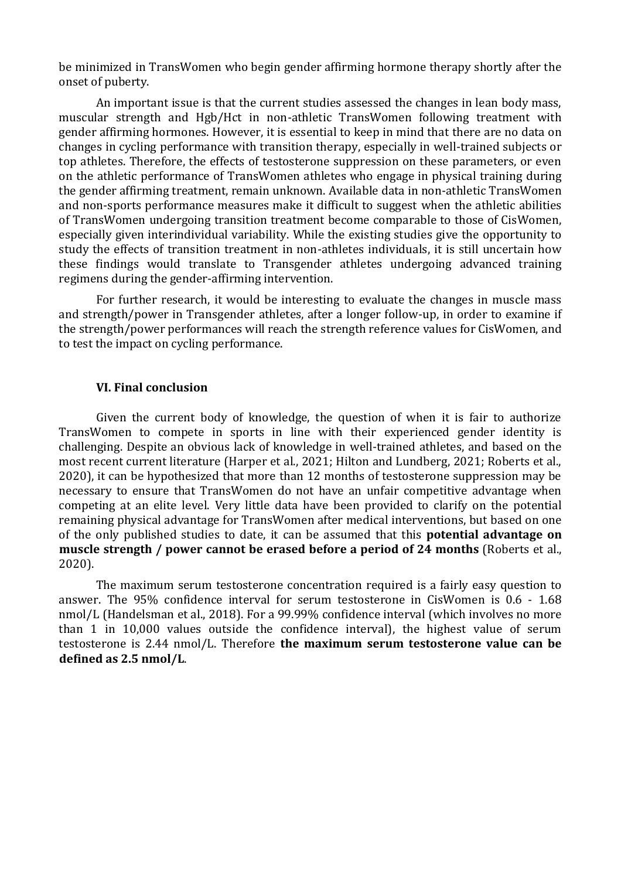be minimized in TransWomen who begin gender affirming hormone therapy shortly after the onset of puberty.

An important issue is that the current studies assessed the changes in lean body mass, muscular strength and Hgb/Hct in non-athletic TransWomen following treatment with gender affirming hormones. However, it is essential to keep in mind that there are no data on changes in cycling performance with transition therapy, especially in well-trained subjects or top athletes. Therefore, the effects of testosterone suppression on these parameters, or even on the athletic performance of TransWomen athletes who engage in physical training during the gender affirming treatment, remain unknown. Available data in non-athletic TransWomen and non-sports performance measures make it difficult to suggest when the athletic abilities of TransWomen undergoing transition treatment become comparable to those of CisWomen, especially given interindividual variability. While the existing studies give the opportunity to study the effects of transition treatment in non-athletes individuals, it is still uncertain how these findings would translate to Transgender athletes undergoing advanced training regimens during the gender-affirming intervention.

For further research, it would be interesting to evaluate the changes in muscle mass and strength/power in Transgender athletes, after a longer follow-up, in order to examine if the strength/power performances will reach the strength reference values for CisWomen, and to test the impact on cycling performance.

### **VI. Final conclusion**

Given the current body of knowledge, the question of when it is fair to authorize TransWomen to compete in sports in line with their experienced gender identity is challenging. Despite an obvious lack of knowledge in well-trained athletes, and based on the most recent current literature (Harper et al., 2021; Hilton and Lundberg, 2021; Roberts et al., 2020), it can be hypothesized that more than 12 months of testosterone suppression may be necessary to ensure that TransWomen do not have an unfair competitive advantage when competing at an elite level. Very little data have been provided to clarify on the potential remaining physical advantage for TransWomen after medical interventions, but based on one of the only published studies to date, it can be assumed that this **potential advantage on muscle strength / power cannot be erased before a period of 24 months** (Roberts et al., 2020).

The maximum serum testosterone concentration required is a fairly easy question to answer. The 95% confidence interval for serum testosterone in CisWomen is 0.6 - 1.68 nmol/L (Handelsman et al., 2018). For a 99.99% confidence interval (which involves no more than 1 in 10,000 values outside the confidence interval), the highest value of serum testosterone is 2.44 nmol/L. Therefore **the maximum serum testosterone value can be defined as 2.5 nmol/L**.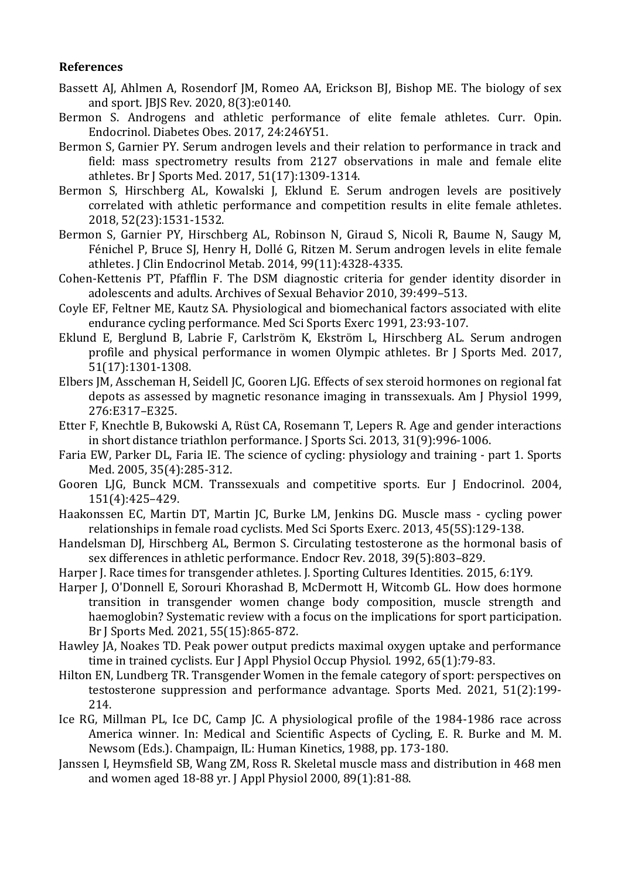# **References**

- Bassett AJ, Ahlmen A, Rosendorf JM, Romeo AA, Erickson BJ, Bishop ME. The biology of sex and sport. JBJS Rev. 2020, 8(3):e0140.
- Bermon S. Androgens and athletic performance of elite female athletes. Curr. Opin. Endocrinol. Diabetes Obes. 2017, 24:246Y51.
- Bermon S, Garnier PY. Serum androgen levels and their relation to performance in track and field: mass spectrometry results from 2127 observations in male and female elite athletes. Br J Sports Med. 2017, 51(17):1309-1314.
- Bermon S, Hirschberg AL, Kowalski J, Eklund E. Serum androgen levels are positively correlated with athletic performance and competition results in elite female athletes. 2018, 52(23):1531-1532.
- Bermon S, Garnier PY, Hirschberg AL, Robinson N, Giraud S, Nicoli R, Baume N, Saugy M, Fénichel P, Bruce SJ, Henry H, Dollé G, Ritzen M. Serum androgen levels in elite female athletes. J Clin Endocrinol Metab. 2014, 99(11):4328-4335.
- Cohen-Kettenis PT, Pfafflin F. The DSM diagnostic criteria for gender identity disorder in adolescents and adults. Archives of Sexual Behavior 2010, 39:499–513.
- Coyle EF, Feltner ME, Kautz SA. Physiological and biomechanical factors associated with elite endurance cycling performance. Med Sci Sports Exerc 1991, 23:93-107.
- Eklund E, Berglund B, Labrie F, Carlström K, Ekström L, Hirschberg AL. Serum androgen profile and physical performance in women Olympic athletes. Br J Sports Med. 2017, 51(17):1301-1308.
- Elbers JM, Asscheman H, Seidell JC, Gooren LJG. Effects of sex steroid hormones on regional fat depots as assessed by magnetic resonance imaging in transsexuals. Am J Physiol 1999, 276:E317–E325.
- Etter F, Knechtle B, Bukowski A, Rüst CA, Rosemann T, Lepers R. Age and gender interactions in short distance triathlon performance. J Sports Sci. 2013, 31(9):996-1006.
- Faria EW, Parker DL, Faria IE. The science of cycling: physiology and training part 1. Sports Med. 2005, 35(4):285-312.
- Gooren LJG, Bunck MCM. Transsexuals and competitive sports. Eur J Endocrinol. 2004, 151(4):425–429.
- Haakonssen EC, Martin DT, Martin JC, Burke LM, Jenkins DG. Muscle mass cycling power relationships in female road cyclists. Med Sci Sports Exerc. 2013, 45(5S):129-138.
- Handelsman DJ, Hirschberg AL, Bermon S. Circulating testosterone as the hormonal basis of sex differences in athletic performance. Endocr Rev. 2018, 39(5):803–829.
- Harper J. Race times for transgender athletes. J. Sporting Cultures Identities. 2015, 6:1Y9.
- Harper J, O'Donnell E, Sorouri Khorashad B, McDermott H, Witcomb GL. How does hormone transition in transgender women change body composition, muscle strength and haemoglobin? Systematic review with a focus on the implications for sport participation. Br J Sports Med. 2021, 55(15):865-872.
- Hawley JA, Noakes TD. Peak power output predicts maximal oxygen uptake and performance time in trained cyclists. Eur J Appl Physiol Occup Physiol. 1992, 65(1):79-83.
- Hilton EN, Lundberg TR. Transgender Women in the female category of sport: perspectives on testosterone suppression and performance advantage. Sports Med. 2021, 51(2):199- 214.
- Ice RG, Millman PL, Ice DC, Camp JC. A physiological profile of the 1984-1986 race across America winner. In: Medical and Scientific Aspects of Cycling, E. R. Burke and M. M. Newsom (Eds.). Champaign, IL: Human Kinetics, 1988, pp. 173-180.
- Janssen I, Heymsfield SB, Wang ZM, Ross R. Skeletal muscle mass and distribution in 468 men and women aged 18-88 yr. J Appl Physiol 2000, 89(1):81-88.